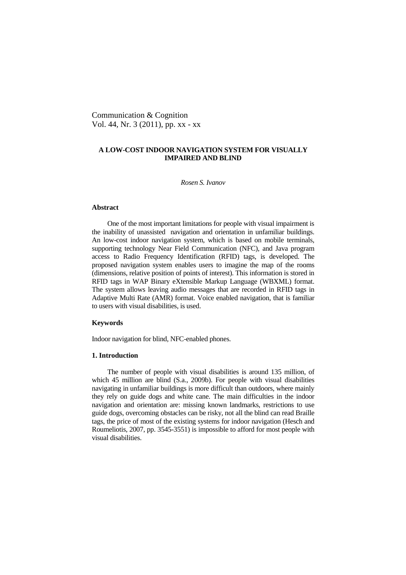Communication & Cognition Vol. 44, Nr. 3 (2011), pp. xx - xx

# **A LOW-COST INDOOR NAVIGATION SYSTEM FOR VISUALLY IMPAIRED AND BLIND**

*Rosen S. Ivanov* 

## **Abstract**

One of the most important limitations for people with visual impairment is the inability of unassisted navigation and orientation in unfamiliar buildings. An low-cost indoor navigation system, which is based on mobile terminals, supporting technology Near Field Communication (NFC), and Java program access to Radio Frequency Identification (RFID) tags, is developed. The proposed navigation system enables users to imagine the map of the rooms (dimensions, relative position of points of interest). This information is stored in RFID tags in WAP Binary eXtensible Markup Language (WBXML) format. The system allows leaving audio messages that are recorded in RFID tags in Adaptive Multi Rate (AMR) format. Voice enabled navigation, that is familiar to users with visual disabilities, is used.

### **Keywords**

Indoor navigation for blind, NFC-enabled phones.

# **1. Introduction**

The number of people with visual disabilities is around 135 million, of which 45 million are blind (S.a., 2009b). For people with visual disabilities navigating in unfamiliar buildings is more difficult than outdoors, where mainly they rely on guide dogs and white cane. The main difficulties in the indoor navigation and orientation are: missing known landmarks, restrictions to use guide dogs, overcoming obstacles can be risky, not all the blind can read Braille tags, the price of most of the existing systems for indoor navigation (Hesch and Roumeliotis, 2007, pp. 3545-3551) is impossible to afford for most people with visual disabilities.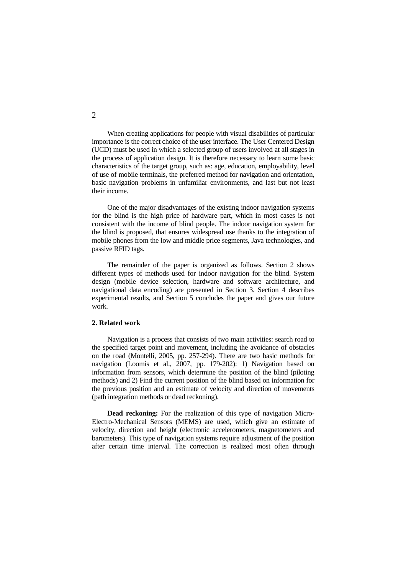When creating applications for people with visual disabilities of particular importance is the correct choice of the user interface. The User Centered Design (UCD) must be used in which a selected group of users involved at all stages in the process of application design. It is therefore necessary to learn some basic characteristics of the target group, such as: age, education, employability, level of use of mobile terminals, the preferred method for navigation and orientation, basic navigation problems in unfamiliar environments, and last but not least their income.

One of the major disadvantages of the existing indoor navigation systems for the blind is the high price of hardware part, which in most cases is not consistent with the income of blind people. The indoor navigation system for the blind is proposed, that ensures widespread use thanks to the integration of mobile phones from the low and middle price segments, Java technologies, and passive RFID tags.

The remainder of the paper is organized as follows. Section 2 shows different types of methods used for indoor navigation for the blind. System design (mobile device selection, hardware and software architecture, and navigational data encoding) are presented in Section 3. Section 4 describes experimental results, and Section 5 concludes the paper and gives our future work.

# **2. Related work**

Navigation is a process that consists of two main activities: search road to the specified target point and movement, including the avoidance of obstacles on the road (Montelli, 2005, pp. 257-294). There are two basic methods for navigation (Loomis et al., 2007, pp. 179-202): 1) Navigation based on information from sensors, which determine the position of the blind (piloting methods) and 2) Find the current position of the blind based on information for the previous position and an estimate of velocity and direction of movements (path integration methods or dead reckoning).

**Dead reckoning:** For the realization of this type of navigation Micro-Electro-Mechanical Sensors (MEMS) are used, which give an estimate of velocity, direction and height (electronic accelerometers, magnetometers and barometers). This type of navigation systems require adjustment of the position after certain time interval. The correction is realized most often through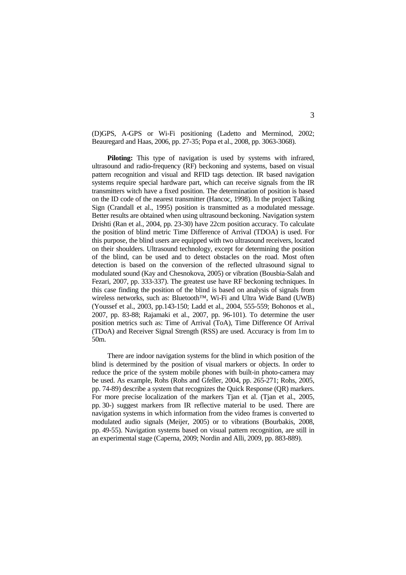(D)GPS, A-GPS or Wi-Fi positioning (Ladetto and Merminod, 2002; Beauregard and Haas, 2006, pp. 27-35; Popa et al., 2008, pp. 3063-3068).

**Piloting:** This type of navigation is used by systems with infrared, ultrasound and radio-frequency (RF) beckoning and systems, based on visual pattern recognition and visual and RFID tags detection. IR based navigation systems require special hardware part, which can receive signals from the IR transmitters witch have a fixed position. The determination of position is based on the ID code of the nearest transmitter (Hancoc, 1998). In the project Talking Sign (Crandall et al., 1995) position is transmitted as a modulated message. Better results are obtained when using ultrasound beckoning. Navigation system Drishti (Ran et al., 2004, pp. 23-30) have 22cm position accuracy. To calculate the position of blind metric Time Difference of Arrival (TDOA) is used. For this purpose, the blind users are equipped with two ultrasound receivers, located on their shoulders. Ultrasound technology, except for determining the position of the blind, can be used and to detect obstacles on the road. Most often detection is based on the conversion of the reflected ultrasound signal to modulated sound (Kay and Chesnokova, 2005) or vibration (Bousbia-Salah and Fezari, 2007, pp. 333-337). The greatest use have RF beckoning techniques. In this case finding the position of the blind is based on analysis of signals from wireless networks, such as: Bluetooth™, Wi-Fi and Ultra Wide Band (UWB) (Youssef et al., 2003, pp.143-150; Ladd et al., 2004, 555-559; Bohonos et al., 2007, pp. 83-88; Rajamaki et al., 2007, pp. 96-101). To determine the user position metrics such as: Time of Arrival (ToA), Time Difference Of Arrival (TDoA) and Receiver Signal Strength (RSS) are used. Accuracy is from 1m to 50m.

There are indoor navigation systems for the blind in which position of the blind is determined by the position of visual markers or objects. In order to reduce the price of the system mobile phones with built-in photo-camera may be used. As example, Rohs (Rohs and Gfeller, 2004, pp. 265-271; Rohs, 2005, pp. 74-89) describe a system that recognizes the Quick Response (QR) markers. For more precise localization of the markers Tjan et al. (Tjan et al., 2005, pp. 30-) suggest markers from IR reflective material to be used. There are navigation systems in which information from the video frames is converted to modulated audio signals (Meijer, 2005) or to vibrations (Bourbakis, 2008, pp. 49-55). Navigation systems based on visual pattern recognition, are still in an experimental stage (Caperna, 2009; Nordin and Alli, 2009, pp. 883-889).

3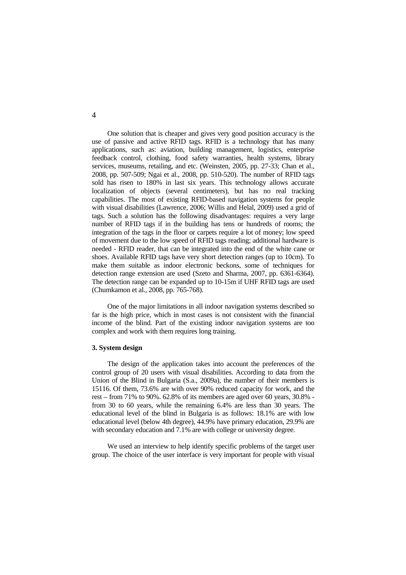One solution that is cheaper and gives very good position accuracy is the use of passive and active RFID tags. RFID is a technology that has many applications, such as: aviation, building management, logistics, enterprise feedback control, clothing, food safety warranties, health systems, library services, museums, retailing, and etc. (Weinsten, 2005, pp. 27-33; Chan et al., 2008, pp. 507-509; Ngai et al., 2008, pp. 510-520). The number of RFID tags sold has risen to 180% in last six years. This technology allows accurate localization of objects (several centimeters), but has no real tracking capabilities. The most of existing RFID-based navigation systems for people with visual disabilities (Lawrence, 2006; Willis and Helal, 2009) used a grid of tags. Such a solution has the following disadvantages: requires a very large number of RFID tags if in the building has tens or hundreds of rooms; the integration of the tags in the floor or carpets require a lot of money; low speed of movement due to the low speed of RFID tags reading; additional hardware is needed - RFID reader, that can be integrated into the end of the white cane or shoes. Available RFID tags have very short detection ranges (up to 10cm). To make them suitable as indoor electronic beckons, some of techniques for detection range extension are used (Szeto and Sharma, 2007, pp. 6361-6364). The detection range can be expanded up to 10-15m if UHF RFID tags are used (Chumkamon et al., 2008, pp. 765-768).

One of the major limitations in all indoor navigation systems described so far is the high price, which in most cases is not consistent with the financial income of the blind. Part of the existing indoor navigation systems are too complex and work with them requires long training.

# **3. System design**

The design of the application takes into account the preferences of the control group of 20 users with visual disabilities. According to data from the Union of the Blind in Bulgaria (S.a., 2009a), the number of their members is 15116. Of them, 73.6% are with over 90% reduced capacity for work, and the rest – from 71% to 90%. 62.8% of its members are aged over 60 years, 30.8% from 30 to 60 years, while the remaining 6.4% are less than 30 years. The educational level of the blind in Bulgaria is as follows: 18.1% are with low educational level (below 4th degree), 44.9% have primary education, 29.9% are with secondary education and 7.1% are with college or university degree.

We used an interview to help identify specific problems of the target user group. The choice of the user interface is very important for people with visual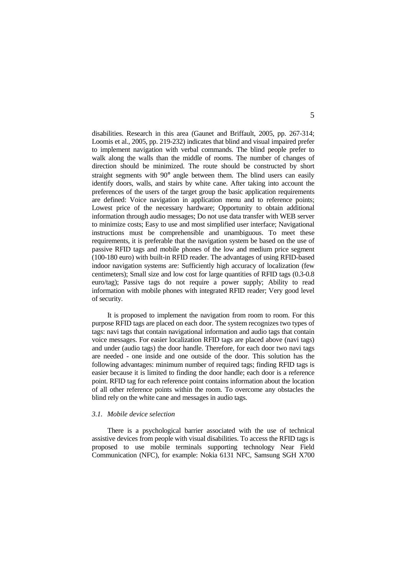disabilities. Research in this area (Gaunet and Briffault, 2005, pp. 267-314; Loomis et al., 2005, pp. 219-232) indicates that blind and visual impaired prefer to implement navigation with verbal commands. The blind people prefer to walk along the walls than the middle of rooms. The number of changes of direction should be minimized. The route should be constructed by short straight segments with 90° angle between them. The blind users can easily identify doors, walls, and stairs by white cane. After taking into account the preferences of the users of the target group the basic application requirements are defined: Voice navigation in application menu and to reference points; Lowest price of the necessary hardware; Opportunity to obtain additional information through audio messages; Do not use data transfer with WEB server to minimize costs; Easy to use and most simplified user interface; Navigational instructions must be comprehensible and unambiguous. To meet these requirements, it is preferable that the navigation system be based on the use of passive RFID tags and mobile phones of the low and medium price segment (100-180 euro) with built-in RFID reader. The advantages of using RFID-based indoor navigation systems are: Sufficiently high accuracy of localization (few centimeters); Small size and low cost for large quantities of RFID tags (0.3-0.8 euro/tag); Passive tags do not require a power supply; Ability to read information with mobile phones with integrated RFID reader; Very good level of security.

It is proposed to implement the navigation from room to room. For this purpose RFID tags are placed on each door. The system recognizes two types of tags: navi tags that contain navigational information and audio tags that contain voice messages. For easier localization RFID tags are placed above (navi tags) and under (audio tags) the door handle. Therefore, for each door two navi tags are needed - one inside and one outside of the door. This solution has the following advantages: minimum number of required tags; finding RFID tags is easier because it is limited to finding the door handle; each door is a reference point. RFID tag for each reference point contains information about the location of all other reference points within the room. To overcome any obstacles the blind rely on the white cane and messages in audio tags.

### *3.1. Mobile device selection*

There is a psychological barrier associated with the use of technical assistive devices from people with visual disabilities. To access the RFID tags is proposed to use mobile terminals supporting technology Near Field Communication (NFC), for example: Nokia 6131 NFC, Samsung SGH X700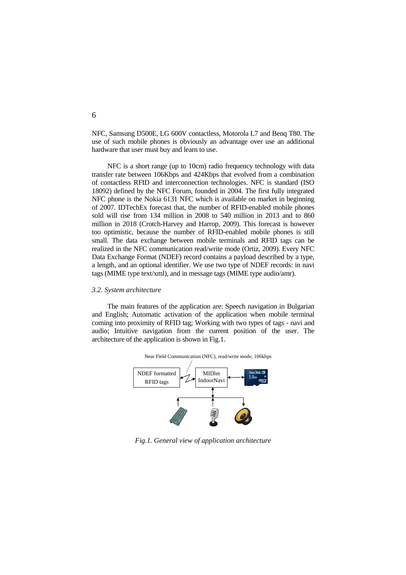NFC, Samsung D500E, LG 600V contactless, Motorola L7 and Benq T80. The use of such mobile phones is obviously an advantage over use an additional hardware that user must buy and learn to use.

NFC is a short range (up to 10cm) radio frequency technology with data transfer rate between 106Kbps and 424Kbps that evolved from a combination of contactless RFID and interconnection technologies. NFC is standard (ISO 18092) defined by the NFC Forum, founded in 2004. The first fully integrated NFC phone is the Nokia 6131 NFC which is available on market in beginning of 2007. IDTechEx forecast that, the number of RFID-enabled mobile phones sold will rise from 134 million in 2008 to 540 million in 2013 and to 860 million in 2018 (Crotch-Harvey and Harrop, 2009). This forecast is however too optimistic, because the number of RFID-enabled mobile phones is still small. The data exchange between mobile terminals and RFID tags can be realized in the NFC communication read/write mode (Ortiz, 2009). Every NFC Data Exchange Format (NDEF) record contains a payload described by a type, a length, and an optional identifier. We use two type of NDEF records: in navi tags (MIME type text/xml), and in message tags (MIME type audio/amr).

### *3.2. System architecture*

The main features of the application are: Speech navigation in Bulgarian and English; Automatic activation of the application when mobile terminal coming into proximity of RFID tag; Working with two types of tags - navi and audio; Intuitive navigation from the current position of the user. The architecture of the application is shown in Fig.1.



*Fig.1. General view of application architecture*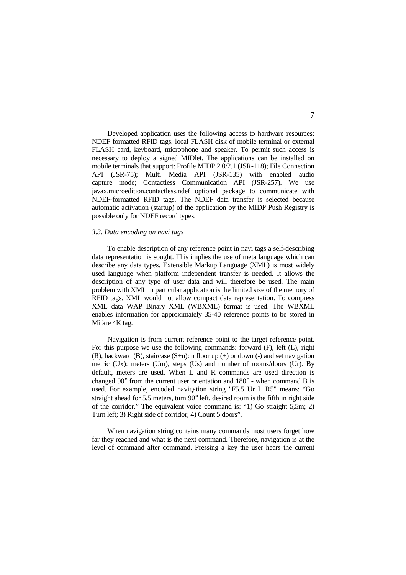Developed application uses the following access to hardware resources: NDEF formatted RFID tags, local FLASH disk of mobile terminal or external FLASH card, keyboard, microphone and speaker. To permit such access is necessary to deploy a signed MIDlet. The applications can be installed on mobile terminals that support: Profile MIDP 2.0/2.1 (JSR-118); File Connection API (JSR-75); Multi Media API (JSR-135) with enabled audio capture mode; Contactless Communication API (JSR-257). We use javax.microedition.contactless.ndef optional package to communicate with NDEF-formatted RFID tags. The NDEF data transfer is selected because automatic activation (startup) of the application by the MIDP Push Registry is possible only for NDEF record types.

#### *3.3. Data encoding on navi tags*

To enable description of any reference point in navi tags a self-describing data representation is sought. This implies the use of meta language which can describe any data types. Extensible Markup Language (XML) is most widely used language when platform independent transfer is needed. It allows the description of any type of user data and will therefore be used. The main problem with XML in particular application is the limited size of the memory of RFID tags. XML would not allow compact data representation. To compress XML data WAP Binary XML (WBXML) format is used. The WBXML enables information for approximately 35-40 reference points to be stored in Mifare 4K tag.

Navigation is from current reference point to the target reference point. For this purpose we use the following commands: forward (F), left (L), right (R), backward (B), staircase  $(S \pm n)$ : n floor up (+) or down (-) and set navigation metric (Ux): meters (Um), steps (Us) and number of rooms/doors (Ur). By default, meters are used. When L and R commands are used direction is changed 90° from the current user orientation and 180° - when command B is used. For example, encoded navigation string "F5.5 Ur L R5" means: "Go straight ahead for 5.5 meters, turn 90° left, desired room is the fifth in right side of the corridor." The equivalent voice command is: "1) Go straight 5,5m; 2) Turn left; 3) Right side of corridor; 4) Count 5 doors".

When navigation string contains many commands most users forget how far they reached and what is the next command. Therefore, navigation is at the level of command after command. Pressing a key the user hears the current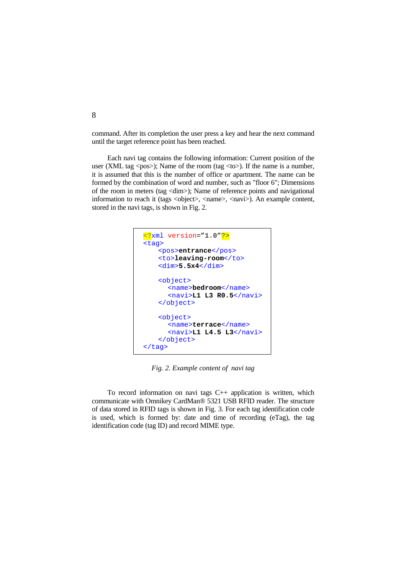command. After its completion the user press a key and hear the next command until the target reference point has been reached.

Each navi tag contains the following information: Current position of the user (XML tag  $\langle pos \rangle$ ); Name of the room (tag  $\langle \text{to} \rangle$ ). If the name is a number, it is assumed that this is the number of office or apartment. The name can be formed by the combination of word and number, such as "floor 6"; Dimensions of the room in meters (tag <dim>); Name of reference points and navigational information to reach it (tags <object>, <name>, <navi>). An example content, stored in the navi tags, is shown in Fig. 2.



*Fig. 2. Example content of navi tag* 

To record information on navi tags  $C++$  application is written, which communicate with Omnikey CardMan® 5321 USB RFID reader. Тhe structure of data stored in RFID tags is shown in Fig. 3. For each tag identification code is used, which is formed by: date and time of recording (eTag), the tag identification code (tag ID) and record MIME type.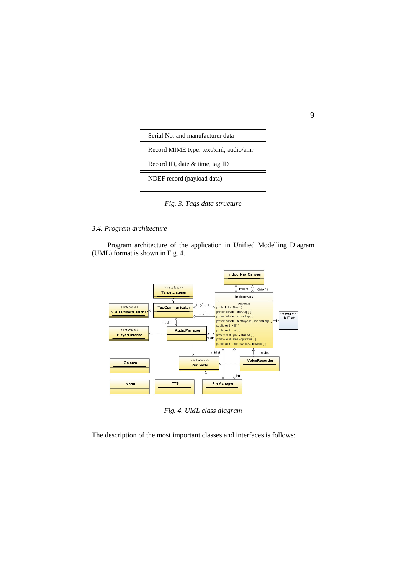

*Fig. 3. Tags data structure* 

# *3.4. Program architecture*

Program architecture of the application in Unified Modelling Diagram (UML) format is shown in Fig. 4.



*Fig. 4. UML class diagram* 

The description of the most important classes and interfaces is follows: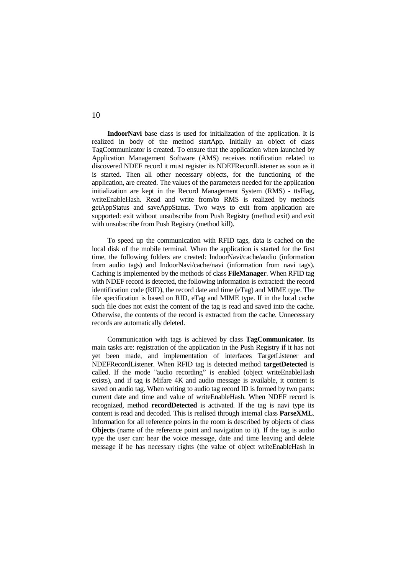**IndoorNavi** base class is used for initialization of the application. It is realized in body of the method startApp. Initially an object of class TagCommunicator is created. To ensure that the application when launched by Application Management Software (AMS) receives notification related to discovered NDEF record it must register its NDEFRecordListener as soon as it is started. Then all other necessary objects, for the functioning of the application, are created. The values of the parameters needed for the application initialization are kept in the Record Management System (RMS) - ttsFlag, writeEnableHash. Read and write from/to RMS is realized by methods getAppStatus and saveAppStatus. Two ways to exit from application are supported: exit without unsubscribe from Push Registry (method exit) and exit with unsubscribe from Push Registry (method kill).

To speed up the communication with RFID tags, data is cached on the local disk of the mobile terminal. When the application is started for the first time, the following folders are created: IndoorNavi/cache/audio (information from audio tags) and IndoorNavi/cache/navi (information from navi tags). Caching is implemented by the methods of class **FileManager**. When RFID tag with NDEF record is detected, the following information is extracted: the record identification code (RID), the record date and time (eTag) and MIME type. The file specification is based on RID, eTag and MIME type. If in the local cache such file does not exist the content of the tag is read and saved into the cache. Otherwise, the contents of the record is extracted from the cache. Unnecessary records are automatically deleted.

Communication with tags is achieved by class **TagCommunicator**. Its main tasks are: registration of the application in the Push Registry if it has not yet been made, and implementation of interfaces TargetListener and NDEFRecordListener. When RFID tag is detected method **targetDetected** is called. If the mode "audio recording" is enabled (object writeEnableHash exists), and if tag is Mifare 4K and audio message is available, it content is saved on audio tag. When writing to audio tag record ID is formed by two parts: current date and time and value of writeEnableHash. When NDEF record is recognized, method **recordDetected** is activated. If the tag is navi type its content is read and decoded. This is realised through internal class **ParseXML**. Information for all reference points in the room is described by objects of class **Objects** (name of the reference point and navigation to it). If the tag is audio type the user can: hear the voice message, date and time leaving and delete message if he has necessary rights (the value of object writeEnableHash in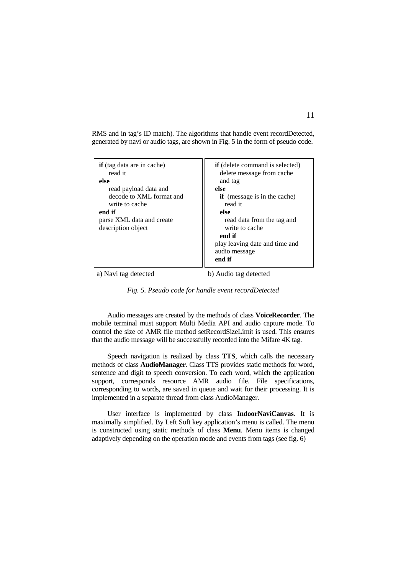RMS and in tag's ID match). The algorithms that handle event recordDetected, generated by navi or audio tags, are shown in Fig. 5 in the form of pseudo code.

| <b>if</b> (tag data are in cache)<br>read it<br>else<br>read payload data and<br>decode to XML format and<br>write to cache<br>end if<br>parse XML data and create<br>description object | <b>if</b> (delete command is selected)<br>delete message from cache<br>and tag<br>else<br><b>if</b> (message is in the cache)<br>read it<br>else<br>read data from the tag and<br>write to cache<br>end if<br>play leaving date and time and<br>audio message<br>end if |
|------------------------------------------------------------------------------------------------------------------------------------------------------------------------------------------|-------------------------------------------------------------------------------------------------------------------------------------------------------------------------------------------------------------------------------------------------------------------------|
|------------------------------------------------------------------------------------------------------------------------------------------------------------------------------------------|-------------------------------------------------------------------------------------------------------------------------------------------------------------------------------------------------------------------------------------------------------------------------|

a) Navi tag detected b) Audio tag detected

*Fig. 5. Pseudo code for handle event recordDetected*

Audio messages are created by the methods of class **VoiceRecorder**. The mobile terminal must support Multi Media API and audio capture mode. To control the size of AMR file method setRecordSizeLimit is used. This ensures that the audio message will be successfully recorded into the Mifare 4K tag.

Speech navigation is realized by class **TTS**, which calls the necessary methods of class **AudioManager**. Class TTS provides static methods for word, sentence and digit to speech conversion. To each word, which the application support, corresponds resource AMR audio file. File specifications, corresponding to words, are saved in queue and wait for their processing. It is implemented in a separate thread from class AudioManager.

User interface is implemented by class **IndoorNaviCanvas**. It is maximally simplified. By Left Soft key application's menu is called. The menu is constructed using static methods of class **Menu**. Menu items is changed adaptively depending on the operation mode and events from tags (see fig. 6)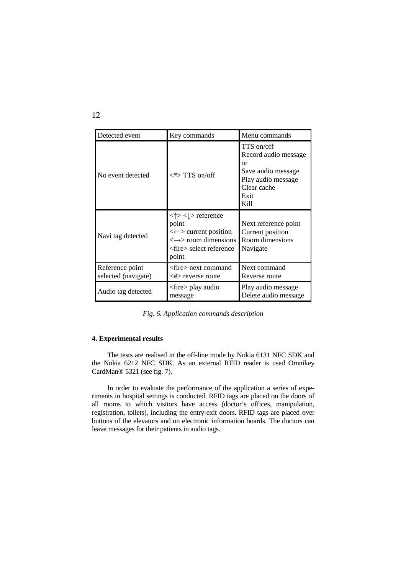| Detected event                         | Key commands                                                                                                                                                    | Menu commands                                                                                                       |
|----------------------------------------|-----------------------------------------------------------------------------------------------------------------------------------------------------------------|---------------------------------------------------------------------------------------------------------------------|
| No event detected                      | $\langle\rangle$ TTS on/off                                                                                                                                     | TTS on/off<br>Record audio message<br>or<br>Save audio message<br>Play audio message<br>Clear cache<br>Exit<br>Kill |
| Navi tag detected                      | $<\uparrow>$ $<\downarrow>$ reference<br>point<br>$\leftarrow$ current position<br>$\iff$ room dimensions<br>$\langle$ fire $\rangle$ select reference<br>point | Next reference point<br>Current position<br>Room dimensions<br>Navigate                                             |
| Reference point<br>selected (navigate) | <fire> next command<br/><math>\langle # \rangle</math> reverse route</fire>                                                                                     | Next command<br>Reverse route                                                                                       |
| Audio tag detected                     | <fire> play audio<br/>message</fire>                                                                                                                            | Play audio message<br>Delete audio message                                                                          |

*Fig. 6. Application commands description* 

## **4. Experimental results**

The tests are realised in the off-line mode by Nokia 6131 NFC SDK and the Nokia 6212 NFC SDK. As an external RFID reader is used Omnikey CardMan® 5321 (see fig. 7).

In order to evaluate the performance of the application a series of experiments in hospital settings is conducted. RFID tags are placed on the doors of all rooms to which visitors have access (doctor's offices, manipulation, registration, toilets), including the entry-exit doors. RFID tags are placed over buttons of the elevators and on electronic information boards. The doctors can leave messages for their patients in audio tags.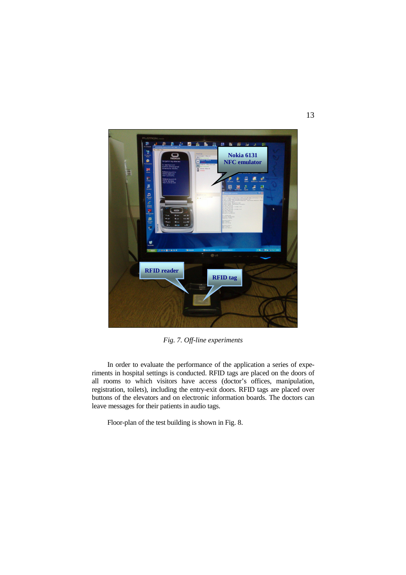

*Fig. 7. Off-line experiments* 

In order to evaluate the performance of the application a series of experiments in hospital settings is conducted. RFID tags are placed on the doors of all rooms to which visitors have access (doctor's offices, manipulation, registration, toilets), including the entry-exit doors. RFID tags are placed over buttons of the elevators and on electronic information boards. The doctors can leave messages for their patients in audio tags.

Floor-plan of the test building is shown in Fig. 8.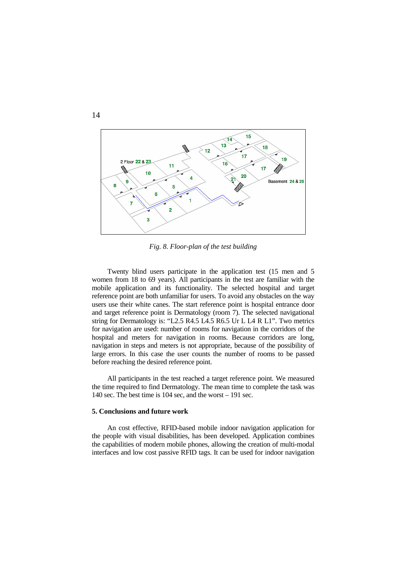

*Fig. 8. Floor-plan of the test building* 

Twenty blind users participate in the application test (15 men and 5 women from 18 to 69 years). All participants in the test are familiar with the mobile application and its functionality. The selected hospital and target reference point are both unfamiliar for users. To avoid any obstacles on the way users use their white canes. The start reference point is hospital entrance door and target reference point is Dermatology (room 7). The selected navigational string for Dermatology is: "L2.5 R4.5 L4.5 R6.5 Ur L L4 R L1". Two metrics for navigation are used: number of rooms for navigation in the corridors of the hospital and meters for navigation in rooms. Because corridors are long, navigation in steps and meters is not appropriate, because of the possibility of large errors. In this case the user counts the number of rooms to be passed before reaching the desired reference point.

All participants in the test reached a target reference point. We measured the time required to find Dermatology. The mean time to complete the task was 140 sec. The best time is 104 sec, and the worst – 191 sec.

### **5. Conclusions and future work**

An cost effective, RFID-based mobile indoor navigation application for the people with visual disabilities, has been developed. Application combines the capabilities of modern mobile phones, allowing the creation of multi-modal interfaces and low cost passive RFID tags. It can be used for indoor navigation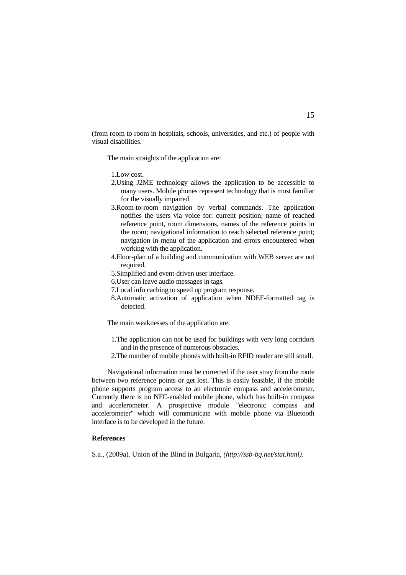(from room to room in hospitals, schools, universities, and etc.) of people with visual disabilities.

The main straights of the application are:

1.Low cost.

- 2.Using J2ME technology allows the application to be accessible to many users. Mobile phones represent technology that is most familiar for the visually impaired.
- 3.Room-to-room navigation by verbal commands. The application notifies the users via voice for: current position; name of reached reference point, room dimensions, names of the reference points in the room; navigational information to reach selected reference point; navigation in menu of the application and errors encountered when working with the application.
- 4.Floor-plan of a building and communication with WEB server are not required.
- 5.Simplified and event-driven user interface.
- 6.User can leave audio messages in tags.
- 7.Local info caching to speed up program response.
- 8.Automatic activation of application when NDEF-formatted tag is detected.

The main weaknesses of the application are:

- 1.The application can not be used for buildings with very long corridors and in the presence of numerous obstacles.
- 2.The number of mobile phones with built-in RFID reader are still small.

Navigational information must be corrected if the user stray from the route between two reference points or get lost. This is easily feasible, if the mobile phone supports program access to an electronic compass and accelerometer. Currently there is no NFC-enabled mobile phone, which has built-in compass and accelerometer. A prospective module "electronic compass and accelerometer" which will communicate with mobile phone via Bluetooth interface is to be developed in the future.

# **References**

S.a., (2009a). Union of the Blind in Bulgaria, *(http://ssb-bg.net/stat.html)*.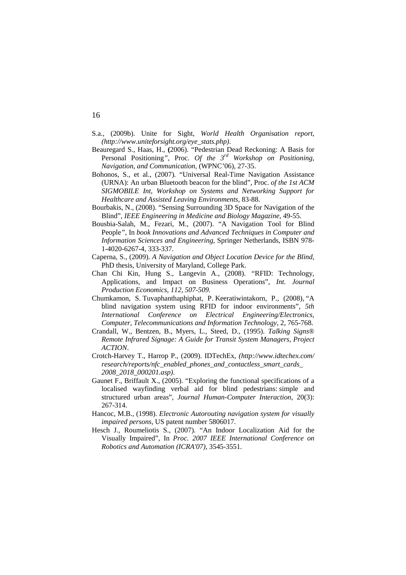- S.a., (2009b). Unite for Sight, *World Health Organisation report*, *(http://www.uniteforsight.org/eye\_stats.php)*.
- Beauregard S., Haas, H., **(**2006). "Pedestrian Dead Reckoning: A Basis for Personal Positioning*"*, Proc. *Of the 3rd Workshop on Positioning, Navigation, and Communication,* (WPNC'06), 27-35.
- Bohonos, S., et al., (2007). "Universal Real-Time Navigation Assistance (URNA): An urban Bluetooth beacon for the blind", Proc. *of the 1st ACM SIGMOBILE Int, Workshop on Systems and Networking Support for Healthcare and Assisted Leaving Environments,* 83-88.
- Bourbakis, N., (2008). "Sensing Surrounding 3D Space for Navigation of the Blind", *IEEE Engineering in Medicine and Biology Magazine*, 49-55.
- Bousbia-Salah, M., Fezari, M., (2007). "A Navigation Tool for Blind People*"*, In *book Innovations and Advanced Techniques in Computer and Information Sciences and Engineering*, Springer Netherlands, ISBN 978- 1-4020-6267-4, 333-337.
- Caperna, S., (2009). *A Navigation and Object Location Device for the Blind*, PhD thesis, University of Maryland, College Park.
- Chan Chi Kin, Hung S., Langevin A., (2008). *"*RFID: Technology, Applications, and Impact on Business Operations"*, Int. Journal Production Economics, 112, 507-509.*
- Chumkamon, S. Tuvaphanthaphiphat, P. Keeratiwintakorn, P., (2008), "A blind navigation system using RFID for indoor environments", *5th International Conference on Electrical Engineering/Electronics, Computer, Telecommunications and Information Technology*, 2, 765-768.
- Crandall, W., Bentzen, B., Myers, L., Steed, D., (1995). *Talking Signs® Remote Infrared Signage: A Guide for Transit System Managers*, *Project ACTION*.
- Crotch-Harvey T., Harrop P., (2009). IDTechEx, *(http://www.idtechex.com/ research/reports/nfc\_enabled\_phones\_and\_contactless\_smart\_cards\_ 2008\_2018\_000201.asp)*.
- Gaunet F., Briffault X., (2005). "Exploring the functional specifications of a localised wayfinding verbal aid for blind pedestrians: simple and structured urban areas", *Journal Human-Computer Interaction*, 20(3): 267-314.
- Hancoc, M.B., (1998). *Electronic Autorouting navigation system for visually impaired persons*, US patent number 5806017.
- Hesch J., Roumeliotis S., (2007). "An Indoor Localization Aid for the Visually Impaired", In *Proc. 2007 IEEE International Conference on Robotics and Automation (ICRA'07)*, 3545-3551.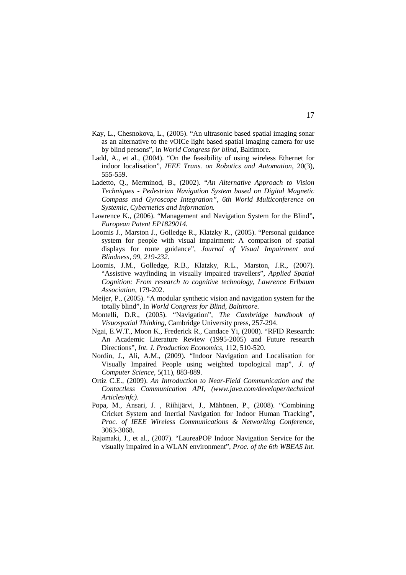- Kay, L., Chesnokova, L., (2005). "An ultrasonic based spatial imaging sonar as an alternative to the vOICe light based spatial imaging camera for use by blind persons", in *World Congress for blind*, Baltimore.
- Ladd, A., et al., (2004). "On the feasibility of using wireless Ethernet for indoor localisation", *IEEE Trans. on Robotics and Automation*, 20(3), 555-559.
- Ladetto, Q., Merminod, B., (2002). "*An Alternative Approach to Vision Techniques - Pedestrian Navigation System based on Digital Magnetic Compass and Gyroscope Integration"*, *6th World Multiconference on Systemic, Cybernetics and Information.*
- Lawrence K., (2006). "Management and Navigation System for the Blind"**,**  *European Patent EP1829014.*
- Loomis J., Marston J., Golledge R., Klatzky R., (2005). "Personal guidance system for people with visual impairment: A comparison of spatial displays for route guidance", *Journal of Visual Impairment and Blindness, 99, 219-232.*
- Loomis, J.M., Golledge, R.B., Klatzky, R.L., Marston, J.R., (2007). "Assistive wayfinding in visually impaired travellers", *Applied Spatial Cognition: From research to cognitive technology, Lawrence Erlbaum Association*, 179-202.
- Meijer, P., (2005). "A modular synthetic vision and navigation system for the totally blind", In *World Congress for Blind, Baltimore.*
- Montelli, D.R., (2005). "Navigation", *The Cambridge handbook of Visuospatial Thinking*, Cambridge University press, 257-294.
- Ngai, E.W.T., Moon K., Frederick R., Candace Yi, (2008). "RFID Research: An Academic Literature Review (1995-2005) and Future research Directions", *Int. J. Production Economics*, 112, 510-520.
- Nordin, J., Ali, A.M., (2009). "Indoor Navigation and Localisation for Visually Impaired People using weighted topological map", *J. of Computer Science*, 5(11), 883-889.
- Ortiz C.E., (2009). *An Introduction to Near-Field Communication and the Contactless Communication API*, *(www.java.com/developer/technical Articles/nfc).*
- Popa, M., Ansari, J. , Riihijärvi, J., Mähönen, P., (2008). "Combining Cricket System and Inertial Navigation for Indoor Human Tracking", *Proc. of IEEE Wireless Communications & Networking Conference,*  3063-3068.
- Rajamaki, J., et al., (2007). "LaureaPOP Indoor Navigation Service for the visually impaired in a WLAN environment", *Proc. of the 6th WBEAS Int.*